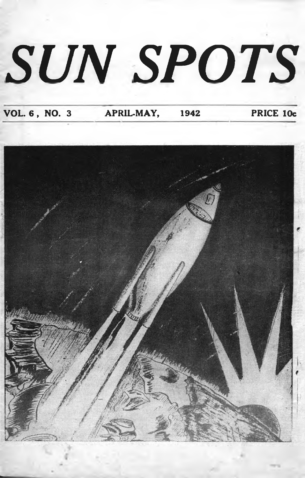# *SUN SPOTS*

**VOL. 6 , NO. 3 APRIL-MAY, 1942 PRICE 10c**

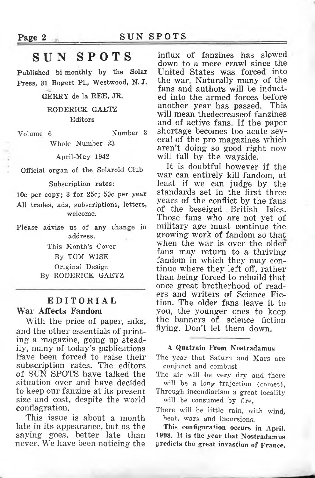### **SUN SPOTS**

Published bi-monthly by the Solar Press, 31 Bogert PL, Westwood, N.J.

GERRY de la REE, JR.

RODERICK GAETZ Editors

Volume 6 Number 3 Whole Number 23

April-May 1942

Official organ of the Solaroid Club

#### Subscription rates:

10c per copy; 3 for 25c; 50c per year All trades, ads, subscriptions, letters, welcome.

Please advise us of any change in address.

> This Month's Cover By TOM WISE Original Design By RODERICK GAETZ

### **EDITORIAL War Affects Fandom**

With the price of paper,  $nks$ , and the other essentials of printing a magazine, going up steadily, many of today's publications have been forced to raise their subscription rates. The editors of SUN SPOTS have talked the situation over and have decided to keep our fanzine at its present size and cost, despite the world conflagration.

This issue is about a month late in its appearance, but as the saying goes, better late than never. We have been noticing the

influx of fanzines has slowed down to a mere crawl since the United States was forced into the war. Naturally many of the fans and authors will be inducted into the armed forces before another year has passed. This will mean thedecreaseof fanzines and of active fans. If the paper shortage becomes too acute several of the pro magazines which aren't doing so good right now will fall by the wayside.

It is doubtful however if the war can entirely kill fandom, at least if we can judge by the standards set in the first three years of the conflict by the fans of the beseiged British Isles. Those fans who are not yet of military age must continue the growing work of fandom so that when the war is over the older fans may return to a thriving fandom in which they may continue where they left off, rather than being forced to rebuild that once great brotherhood of readers and writers of Science Fiction. The older fans leave it to you, the younger ones to keep the banners of science fiction flying. Don't let them down.

### **A Quatrain From Nostradamus**

The year that Saturn and Mars are conjunct and combust

The air will be very dry and there will be a long trajection (comet),

Through incendiarism a great locality will be consumed by fire,

There will be little rain, with wind, heat, wars and incursions.

**This configuration occurs in April, 1998. It is the year that Nostradamus predicts the great invastion of France.**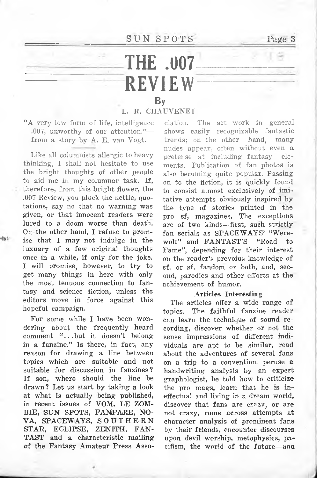$SUN$   $SPORTS$  Page

### **THE .007\_ \_ \_ \_ \_ \_ \_ - REVIEW** By **—- - - - - —**

### **L. R. CHAUVENET**

**EXECUTE:**<br> **EXECUTE:**<br> **EXECUTE:**<br> **EXECUTE:**<br> **EXECUTE:**<br> **EXECUTE:**<br> **EXECUTE:**<br> **EXECUTE:**<br> **EXECUTE:**<br> **EXECUTE:** "A very low form of life, intelligence .007, unworthy of our attention."— from a story by A. E. van Vogt.

Like all columnists allergic to heavy thinking, I shall not hesitate to use the bright thoughts of other people to aid me in my columnar task. If, therefore, from this bright flower, the .007 Review, you pluck the nettle, quotations, say no that no warning was given, or that innocent readers were lured to a doom worse than death. On the other hand, I refuse to promise that I may not indulge in the luxuary of a few original thoughts once in a while, if only for the joke. I will promise, however, to try to get many things in here with only the most tenuous connection to fantasy and science fiction, unless the editors move in force against this hopeful campaign.

For some while I have been wondering about the frequently heard comment "...but it doesn't belong in a fanzine." Is there, in fact, any reason for drawing a line between topics which are suitable and not suitable for discussion in fanzines ? If son, where should the line be drawn? Let us start by taking a look at what is actually being published, in recent issues of VOM, LE ZOM-BIE, SUN SPOTS, FANFARE, NO-VA, SPACEWAYS, SOUTHERN STAR, ECLIPSE, ZENITH, FAN-TAST and a characteristic mailing of the Fantasy Amateur Press Asso-

ciation. The art work in general shows easily recognizable fantastic trends; on the other hand, many nudes appear, often without even a pretense at including fantasy elements. Publication of fan photos is also becoming quite popular. Passing on to the fiction, it is quickly found to consist almost exclusively of imitative attempts obviously inspired by the type of stories printed in the pro sf, magazines. The exceptions are of two kinds—first, such strictly fan serials as SPACEWAYS' "Were-<br>wolf" and FANTAST'S "Road to wolf" and FANTAST'S "Road Fame", depending for their interest on the reader's prevoius knowledge of sf. or sf. fandom or both, and, second, parodies and other efforts at the achievement of humor.

### **Articles Interesting**

The articles offer a wide range of topics. The faithful fanzine reader can learn the technique of sound recording, discover whether or not the sense impressions of different individuals are apt to be similar, read about the adventures of several fans on a trip to a convention, peruse a handwriting analysis by an expert graphologist, be told hew to criticize the pro mags, learn that he is ineffectual and living in a dream world, discover that fans are crazy, or are not crazy, come across attempts at character analysis of prominent fans by their friends, encounter discourses upon devil worship, metophysics, pacifism, the world of the future—and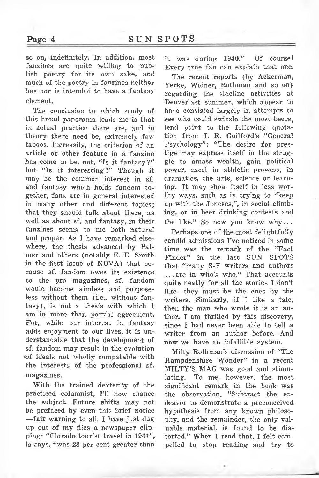so on, indefinitely. In addition, most fanzines are quite willing to publish poetry for its own sake, and much of the poetry in fanzines neither has nor is intended to have a fantasy element.

The conclusion to which study of this broad panorama leads me is that in actual practice there are, and in theory there need be, extremely few taboos. Increasily, the criterion of an article or other feature in a fanzine has come to be, not, "Is it fantasy?" but "Is it interesting?" Though it may be the common interest in sf. and fantasy which holds fandom together, fans are in general interested in many other and different topics; that they should talk about there, as well as about sf. and fantasy, in their fanzines seems to me both natural and proper. As I have remarked elsewhere, the thesis advanced by Palmer and others (notably E. E. Smith in the first issue of NOVA) that because sf. fandom owes its existence to the pro magazines, sf. fandom would become aimless and purposeless without them (i.e., without fantasy), is not a thesis with which I am in more than partial agreement. For, while our interest in fantasy adds enjoyment to our lives, it is understandable that the development of sf. fandom may result in the evolution of ideals not wholly computable with the interests of the professional sf. magazines.

With the trained dexterity of the practiced columnist, I'll now chance the subject. Future shifts may not be prefaced by even this brief notice —fair warning to all. I have just dug up out of my files a newspaper clipping: "Clorado tourist travel in 1941", is says, "was 23 per cent greater than

it was during 1940." Of course! Every true fan can explain that one.

The recent reports (by Ackerman, Yerke, Widner, Rothman and so on) regarding the sideline activities at Denverlast summer, which appear to have consisted largely in attempts to see who could swizzle the most beers, lend point to the following quotation from J. R. Guilford's "General Psychology": "The desire for prestige may express itself in the struggle to amass wealth, gain political power, excel in athletic prowess, in dramatics, the arts, science or learning. It may show itself in less worthy ways, such as in trying to "keep up with the Joneses,", in social climbing, or in beer drinking contests and the like." So now you know why...

Perhaps one of the most delightfully candid admissions I've noticed in sofhe time was the remark of the "Fact Finder" in the last SUN SPOTS that "many S-F writers and authors .. .are in who's who." That accounts quite neatly for all the stories I don't like—they must be the ones by the writers. Similarly, if I like a tale, then the man who wrote it is an author. I am thrilled by this discovery, since I had never been able to tell a writer from an author before. And now we have an infallible system.

Milty Rothman's discussion of "The Hampdenshire Wonder" in a recent MILTY'S MAG was good and stimulating. To me, however, the most significant remark in the book was the observation, "Subtract the endeavor to demonstrate a preconceived hypothesis from any known philosophy, and the remainder, the only valuable material, is found to be distorted." When I read that, I felt compelled to stop reading and try to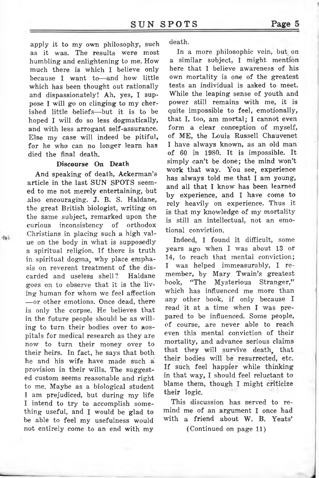apply it to my own philosophy, such as it was. The results were most humbling and enlightening to me. How much there is which I believe only because I want to—and how little which has been thought out rationally and dispassionately! Ah, yes, I suppose I will go on clinging to my cherished little beliefs—but it is to be hoped I will do so less dogmatically, and with less arrogant self-assurance. Else my case will indeed be pitiful, for he who can no longer learn has died the final death.

### **Discourse On Death**

And speaking of death, Ackerman's article in the last SUN SPOTS seemed to me not merely entertaining, but also encouraging. J. B. S. Haldane, the great British biologist, writing on the same subject, remarked upon the curious inconsistency of orthodox Christians in placing such a high value on the body in what is supposedly a spiritual religion. If there is truth in spiritual dogma, why place emphasis on reverent treatment of the discarded and useless shell? Haldane goes on to observe that it is the living human for whom we feel affection —or other emotions. Once dead, there is only the corpse. He believes that in the future people should be as willing to turn their bodies over to Mospitals for medical research as they are now to turn their money over to their heirs. In fact, he says that both he and his wife have made such a provision in their wills. The suggested custom seems reasonable and right to me. Maybe as a biological student I am prejudiced, but during my life I intend to try to accomplish something useful, and I would be glad to be able to feel my usefulness would not entirely come to an end with my

death.

In a more philosophic vein, but on a similar subject, I might mention here that I believe awareness of his own mortality is one of the greatest tests an individual is asked to meet. While the leaping sense of youth and power still remains with me, it is quite impossible to feel, emotionally, that I, too, am mortal; I cannot even form a clear conception of myself, of ME, the Louis Russell Chauvenet I have always known, as an old man of <sup>60</sup> in 1980. It is impossible. It simply can't be done; the mind won't work that way. You see, experience has always told me that I am young, and all that I know has been learned by experience, and I have come to rely heavily on experience. Thus it is that my knowledge of my mortality is still an intellectual, not an emotional conviction.

Indeed, I found it difficult, some years ago when I was about 13 or 14, to reach that mental conviction; I was helped immeasurably, I remember, by Mary Twain's greatest book, "The Mysterious Stranger," which has influenced me more than any other book, if only because I read it at a time when I was prepared to be influenced. Some people, of course, are never able to reach even this mental conviction of their mortality, and advance serious claims that they will survive death, that their bodies will be resurrected, etc. If such feel happier while thinking in that way, I should feel reluctant to blame them, though I might criticize their logic.

This discussion has served to remind me of an argument I once had with a friend about W. B. Yeats'

(Continued on page 11)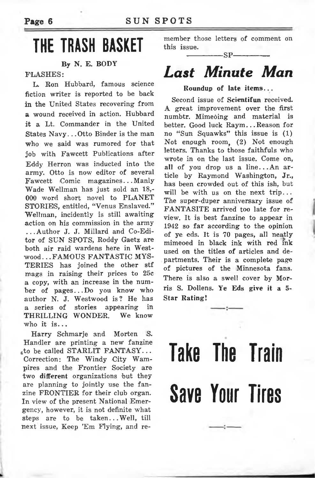### **THE TRASH BASKET**

### **By N. E. BODY**

### **FLASHES:**

L. Ron Hubbard, famous science fiction writer is reported to be back in the United States recovering from **a** wound received in action. Hubbard it a Lt. Commander in the United States Navy.. .Otto Binder is the man who we said was rumored for that job with Fawcett Publications after Eddy Herron was inducted into the army. Otto is now editor of several Fawcett Comic magazines.. .Manly Wade Wellman has just sold an 18,- 000 word short novel to PLANET STORIES, entitled, "Venus Enslaved." Wellman, incidently is still awaiting action on his commission in the army ...Author J. J. Millard and Co-Editor of SUN SPOTS, Roddy Gaetz are both air raid wardens here in Westwood. . .FAMOUS FANTASTIC MYS-TERIES has joined the other stf mags in raising their prices to 25c a copy, with an increase in the number of pages...Do you know who author N. J. Westwood is ? He has a series of stories appearing in THRILLING WONDER. We know who it is...

Harry Schmarje and Morten S. Handler are printing a new fanzine <sub>a</sub>to be called STARLIT FANTASY... Correction: The Windy City Wampires and the Frontier Society are two different organizations but they are planning to jointly use the fanzine FRONTIER for their club organ. In view of the present National Emergency, however, it is not definite what steps are to be taken.. .Well, till next issue, Keep 'Em Flying, and remember those letters of comment on this issue.

### --------------SP--------------

### *Last Minute Man*

### **Roundup of late items...**

Second issue of **Scientifun** received. A great improvement over the first numbtr. Mimebing and material is better. Good luck Raym...Reason for no "Sun Squawks" this issue is (1) Not enough room, (2) Not enough letters. Thanks to those faithfuls who wrote in on the last issue. Come on, all of you drop us <sup>a</sup> line...An article by Raymond Washington, Jr., has been crowded out of this ish, but will be with us on the next trip... The super-duper anniversary issue of FANTASITE arrived too late for review. It is best fanzine to appear in 1942 so far according to the opinion of ye eds. It is 70 pages, all neatly mimeoed in black ink with red ink used on the titles of articles and departments. Their is a complete page of pictures of the Minnesota fans. There is also a swell cover by Morris S. Dollens. Ye Eds give it a 5- **Star Rating!**

## **Take The Train Save Your Tires**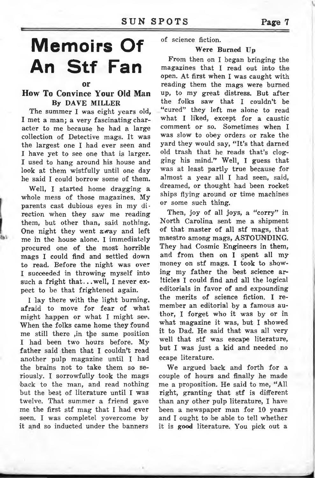### **SUN SPOTS Page <sup>7</sup>**

### **Memoirs Of An Stf Fan**

#### **or**

### **How To Convince Your Old Man By DAVE MILLER**

The summer I was eight years old, I met a man; a very fascinating character to me because he had a large collection of Detective mags. It was the largest one I had ever seen and I have yet to see one that is larger. I used to hang around his house and look at them wistfully until one day he said I could borrow some of them.

Well, I started home dragging a whole mess of those magazines. My parents cast dubious eyes in my direction when they saw me reading them, but other than, said nothing. One night they went away and left me in the house alone, I immediately procured one of the most horrible mags I could find and settled down to read. Before the night was over I succeeded in throwing myself into such a fright that.. .well, I never expect to be that frightened again.

I lay there with the light burning, afraid to move for fear of what might happen or what I might see. When the folks came home they found me still there ,in the same position I had been two hours before. My father said then that I couldn't read another pulp magazine until I had the brains not to take them so seriously. I sorrowfully took the mags back to the man, and read nothing but the best of literature until I was twelve. That summer a friend gave me the first stf mag that I had ever seen. I was completel yovercome by it and so inducted under the banners

of science fiction.

### **Were Burned Up**

From then on I began bringing the magazines that I read out into the open. At first when I was caught with reading them the mags were burned up, to my great distress. But after the folks saw that I couldn't be "cured" they left me alone to read what I liked, except for a caustic comment or so. Sometimes when I was slow to obey orders or rake the yard they would say, "It's that darned old trash that he reads that's clogging his mind." Well, I guess that was at least partly true because for almost a year all I had seen, said, dreamed, or thought had been rocket ships flying around or time machines or some such thing.

Then, joy of all joys, a "corry" in North Carolina sent me a shipment of that master of all stf mags, that maestro among mags, ASTOUNDING. They had Cosmic Engineers in them, and from then on I spent all my money on stf mags. I took to showing my father the best science ar-Iticles I could find and all the logical editorials in favor of and expounding the merits of science fiction. I remember an editorial by a famous author, I forget who it was by or in what magazine it was, but I showed it to Dad. He said that was all very well that stf was escape literature, but I was just a kid and needed no ecape literature.

We argued back and forth for a couple of hours and finally he made me a proposition. He said to me, "All right, granting that stf is different than any other pulp literature, I have been a newspaper man for 10 years and I ought to be able to tell whether it is good literature. You pick out a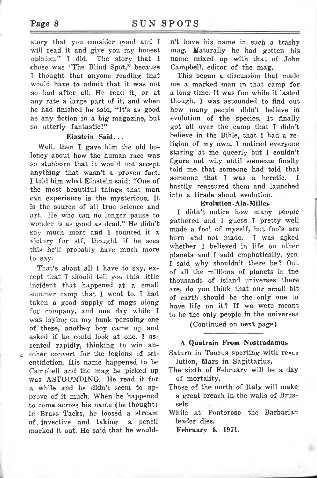story that you consider good and I will read it and give you my honest opinion." I did. The story that I chose was "The Blind Spot," because I thought that anyone reading that would have to admit that it was not so bad after all. He read it, or at any rate a large part of it, and when he had finished he said, "It's as good as any fiction in a big magazine, but so utterly fantastic!"

### **Einstein Said.. .**

Well, then I gave him the old boloney about how the human race was so stubborn that it would not accept anything that wasn't a proven fact. I told him what Einstein said: "One of the most beautiful things that man can experience is the mysterious. It is the source of all true science and art. He who can no longer pause to wonder is as good as dead." He didn't say much more and I counted it a victory for stf, thought if he sees this he'll probably have much more to say.

That's about all I have to say, except that I should tell you this little incident that happened at a small summer camp that I went to. I had taken a good supply of mags along for company, and one day while I was laying on my bunk persuing one of these, another boy came up and asked if he could look at one. I assented rapidly, thinking to win another convert for the legions of scientifiction. His name happened to be Campbell and the mag he picked up was ASTOUNDING. He read it for a while and he didn't seem to approve of it much. When he happened to come across his name (he thought) in Brass Tacks, he loosed a stream of, invective and taking a pencil marked it out. He said that he wouldn't have his name in such a trashy mag. Naturally he had gotten his name mixed up with that of John Campbell, editor of the mag.

This began a discussion that made me a marked man in that camp for a long time. It was fun while it lasted though. I was astounded to find out how many people didn't believe in evolution of the species. It finally got all over the camp that I didn't believe in the Bible, that I had a religion of my own. I noticed everyone staring at me queerly but I couldn't figure out why until someone finally told me that someone had told that<br>someone that I was a heretic. I someone that I was a heretic. hastily reassured them and launched into a tirade about evolution.

### **Evolution-Ala-Miller**

I didn't notice how many people gathered and I guess I pretty well made a fool of myself, but fools are born and not made. I was a^ked whether I believed in life on other planets and I said emphatically, yes. I said why shouldn't there be? Out of all the millions of planets in tne thousands of island universes there are, do you think that our small bit of earth should be the only one to have life on it? If we were meant to be the only people in the universes

(Continued on next page)

### **A Quatrain From. Nostradamus**

Saturn in Taurus sporting with revie lution, Mars in Sagittarius,

- The sixth of February will be a day of mortality,
- Those of the north of Italy will make a great breach in the walls of Brussels
- While at Pontoroso the Barbarian leader dies.

**February 6, 1971.**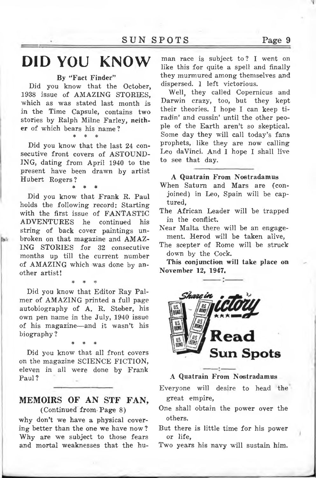### **DID YOU KNOW**

### **By "Fact Finder"**

Did you know that the October, 1938 issue of AMAZING STORIES, which as was stated last month is in the Time Capsule, contains two stories by Ralph Milne Farley, neither of which bears his name?

\* \* \*

Did you know that the last 24 consecutive front covers of ASTOUND-ING, dating from April 1940 to the present have been drawn by artist Hubert Rogers ?

\* \* \*

Did you know that Frank R. Paul holds the following record: Starting with the first issue of FANTASTIC ADVENTURES he continued his string of back cover paintings unbroken on that magazine and AMAZ-ING STORIES for 32 consecutive months up till the current number of AMAZING which was done by another artist!

\* \* \*

Did you know that Editor Ray Palmer of AMAZING printed a full page autobiography of A. R. Steber, his own pen name in the July, 1940 issue of his magazine—and it wasn't his biography ?

\* \* \*

Did you know that all front covers on the magazine SCIENCE FICTION, eleven in all were done by Frank Paul?

### MEMOIRS OF AN STF FAN, (Continued from- Page 8)

why don't we have a physical covering better than the one we have now ? Why are we subject to those fears and mortal weaknesses that the hu-

man race is subject to ? I went on like this for quite a spell and finally they murmured among themselves and dispersed. I left victorious.

Well, they called Copernicus and Darwin crazy, too, but they kept their theories. I hope I can keep tiradin' and cussin' until the other people of the Earth aren't so skeptical. Some day they will call today's fans prophets, like they are now calling Leo daVinci. And I hope I shall live to see that day.

### **A Quatrain From Nostradamus**

When Saturn and Mars are (conjoined) in Leo, Spain will be captured,

The African Leader will be trapped in the conflict.

Near Malta there will be an engagement. Herod will be taken alive,

The scepter of Rome will be struck down by the Cock.

**This conjunction will take place on November 12, 1947,**



### **A Quatrain From Nostradamus**

Everyone will desire to head the great empire,

- One shall obtain the power over the others.
- But there is little time for his power or life,

Two years his navy will sustain him.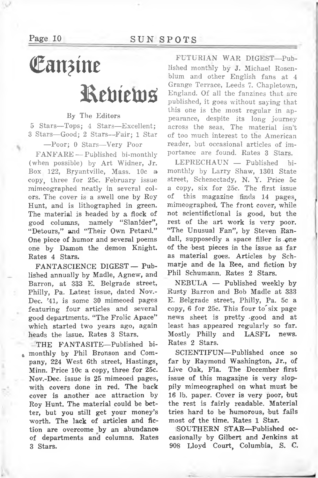### Page 10 SUNSPOTS

### Eanzine Ketriews

### By The Editors

5 Stars—Tops; 4 Stars—Excellent; 3 Stars—Good; 2 Stars—-Fair; <sup>1</sup> Star

—Poor; 0 Stars—Very Poor

FANFARE — Published bi-monthly (when possible) by Art Widner, Jr. Box 122, Bryantville, Mass. 10c a copy, three for 25c. February issue mimeographed neatly in several colors. The cover is a swell one by Roy Hunt, and is lithographed in green. The material is headed by a flock of good columns, namely "SianIder", "Detours," and "Their Own Petard." One piece of humor and several poems one by Damon the demon Knight. Rates 4 Stars.

FANTASCIENCE DIGEST — Published annually by Madle, Agnew, and Barron, at 333 E. Belgrade street, Philly, Pa. Latest issue, dated Nov.- Dec. '41, is some 30 mimeoed pages featuring four articles and several good departments. "The Frolic Apace" which started two years ago, again heads the issue. Rates 3 Stars.

THE FANTASITE—Published bimonthly by Phil Bronson and Company, 224 West 6th street, Hastings, Minn. Price 10c a copy, three for 25c. Nov.-Dec. issue is 25 mimeoed pages, with covers done in red. The back cover is another ace attraction by Roy Hunt, The material could be better, but you still get your money's worth. The lack of articles and fiction are overcome by an abundance of departments and columns. Rates 3 Stars.

FUTURIAN WAR DIGEST—Published monthly by J. Michael Rosenblum and other English fans at 4 Grange Terrace, Leeds 7. Chapletown, England. Of all the fanzines that are published, it goes without saying that this one is the most regular in appearance, despite its long journey across the seas. The material isn't of too much interest to the American reader, but occasional articles of importance are found. Rates 3 Stars.

LEPRECHAUN — Published bimonthly by Larry Shaw, 1301 State street, Schenectady, N. Y. Price 5c a copy, six for 25c. The first issue of this magazine finds 14 pages, mimeographed. The front cover, while not scientifictional is good, but the rest of the art work is very poor. "The Unusual Fan", by Steven Randall, supposedly a space filler is one of the best pieces in the issue as far as material goes. Articles by Schmarje and de la Ree, and fiction by Phil Schumann. Rates 2 Stars.

NEBULA — Published weekly by Rusty Barron and Bob Madle at 333 E. Belgrade street, Philly, Pa. 5c a copy, 6 for 25c. This four to'six page news sheet is pretty -good and at least has appeared regularly so far. Mostly Philly and LASFL news. Rates 2 Stars.

SCIENTIFUN—Published once so far by Raymond Washington, Jr., of Live Oak, Fla. The December first issue of this magazine is very sloppily mimeographed on what must be 16 lb. paper. Cover is very poor, but the rest is fairly readable. Material tries hard to be humorous, but fails most of the time. Rates 1 Star.

SOUTHERN STAR—Published occasionally by Gilbert and Jenkins at 908 Lloyd Court, Columbia, S. C.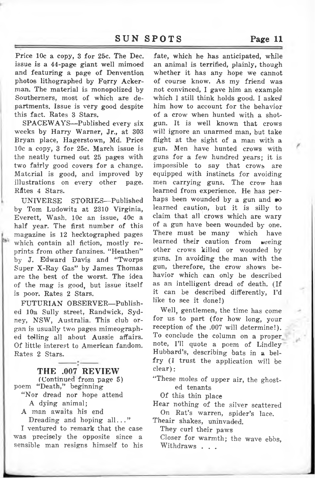Price 10c a copy, 3 for 25c. The Dec. issue is a 44-page giant well mimoed and featuring a page of Denvention photos lithographed by Forry Ackerman. The material is monopolized by Southerners, most of which are departments. Issue is very good despite this fact. Rates 3 Stars.

SPACEWAYS—Published every six weeks by Harry Warner, Jr., at 303 Bryan place, Hagerstown, Md. Price 10c a copy, 3 for 25c. March issue is the neatly turned out 25 pages with two fairly good covers for a change. Material is good, and improved by illustrations on every other page. Råtes 4 Stars.

UNIVERSE STORIES—Published by Tom Ludowitz at 2310 Virginia, Everett, Wash. 10c an issue, 40c a half year. The first number of this magazine is 12 hecktographed pages which contain all fiction, mostly reprints from other fanzines. "Heathen" by J. Edward Davis and "Tworps Super X-Ray Gas" by James Thomas are the best of the worst. The idea of the mag is good, but issue itself is poor. Rates 2 Stars.

FUTURIAN OBSERVER—Published 10a Sully street, Randwick, Sydney, NSW, Australia. This club organ is usually two pages mimeographed telling all about Aussie affairs. Of little interest to American fandom. Rates 2 Stars.

THE .007 REVIEW

(Continued from page 5) poem "Death," beginning

"Nor dread nor hope attend A dying animal;

A man awaits his end

Dreading and hoping all..."

I ventured to remark that the case was precisely the opposite since a sensible man resigns himself to his

fate, which he has anticipated, while an animal is terrified, plainly, though whether it has any hope we cannot of course know. As my friend was not convinced, I gave him an example which I still think holds good. I asked him how to account for the behavior of a crow when hunted with a shotgun. It is well known that crows will ignore an unarmed man, but take flight at the sight of a man with a gun. Men have hunted crows with guns for a few hundred years; it is impossible to say that crows are equipped with instincts for avoiding men carrying guns. The crow has learned from experience. He has perhaps been wounded by a gun and »o learned caution, but it is silly to claim that all crows which are wary of a gun have been wounded by one. There must be many which have learned their caution from seeing other crows killed or wounded by guns. In avoiding the man with the gun, therefore, the crow shows behavior which can only be described as an intelligent dread of death. (If it can be described differently, I'd like to see it done!)

Well, gentlemen, the time has come for us to part (for how long, your reception of the .007 will determine!). To conclude the column on a proper note, I'll quote a poem of Lindley Hubbard's, describing bats in a belfry (I trust the application will be clear):

"These moles of upper air, the ghosted tenants

Of this thin place

Hear nothing of the silver scattered On Rat's warren, spider's lace.

Theair shakes, uninvaded.

They curl their paws

Closer for warmth; the wave ebbs, Withdraws . . .